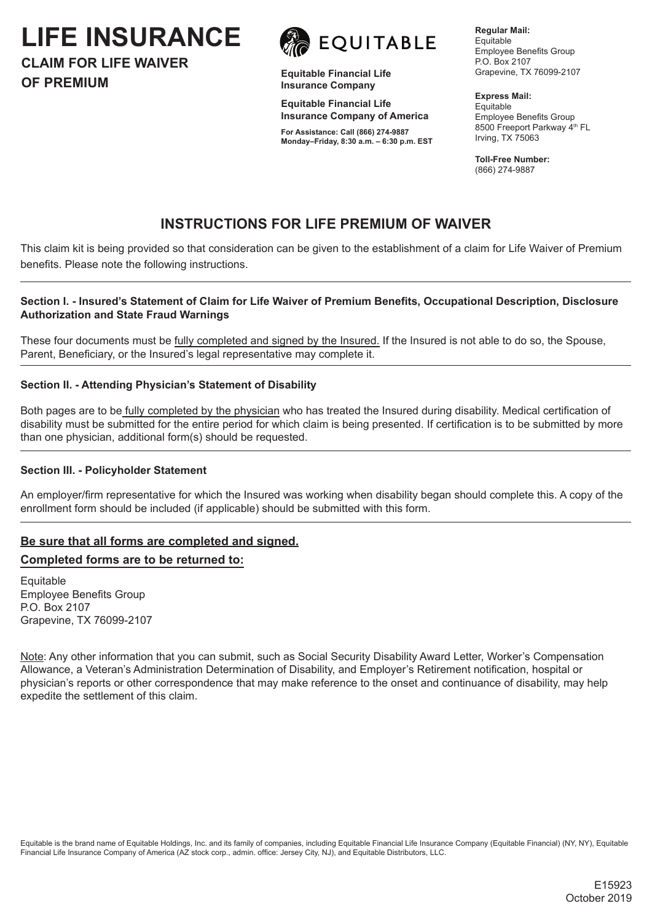**LIFE INSURANCE**





**Equitable Financial Life Insurance Company**

**Equitable Financial Life Insurance Company of America**

**For Assistance: Call (866) 274-9887 Monday–Friday, 8:30 a.m. – 6:30 p.m. EST** **Regular Mail: Equitable** Employee Benefits Group P.O. Box 2107 Grapevine, TX 76099-2107

**Express Mail:** Equitable Employee Benefits Group 8500 Freeport Parkway 4<sup>th</sup> FL Irving, TX 75063

**Toll-Free Number:** (866) 274-9887

# **INSTRUCTIONS FOR LIFE PREMIUM OF WAIVER**

This claim kit is being provided so that consideration can be given to the establishment of a claim for Life Waiver of Premium benefits. Please note the following instructions.

#### **Section I. - Insured's Statement of Claim for Life Waiver of Premium Benefits, Occupational Description, Disclosure Authorization and State Fraud Warnings**

These four documents must be fully completed and signed by the Insured. If the Insured is not able to do so, the Spouse, Parent, Beneficiary, or the Insured's legal representative may complete it.

#### **Section II. - Attending Physician's Statement of Disability**

Both pages are to be fully completed by the physician who has treated the Insured during disability. Medical certification of disability must be submitted for the entire period for which claim is being presented. If certification is to be submitted by more than one physician, additional form(s) should be requested.

#### **Section III. - Policyholder Statement**

An employer/firm representative for which the Insured was working when disability began should complete this. A copy of the enrollment form should be included (if applicable) should be submitted with this form.

## **Be sure that all forms are completed and signed.**

## **Completed forms are to be returned to:**

Equitable Employee Benefits Group P.O. Box 2107 Grapevine, TX 76099-2107

Note: Any other information that you can submit, such as Social Security Disability Award Letter, Worker's Compensation Allowance, a Veteran's Administration Determination of Disability, and Employer's Retirement notification, hospital or physician's reports or other correspondence that may make reference to the onset and continuance of disability, may help expedite the settlement of this claim.

Equitable is the brand name of Equitable Holdings, Inc. and its family of companies, including Equitable Financial Life Insurance Company (Equitable Financial) (NY, NY), Equitable Financial Life Insurance Company of America (AZ stock corp., admin. office: Jersey City, NJ), and Equitable Distributors, LLC.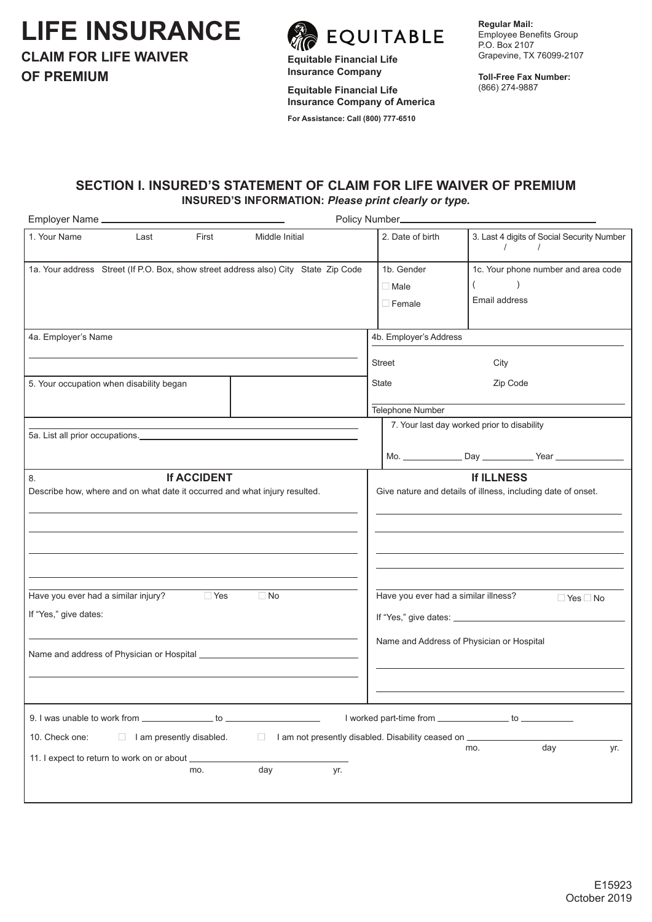# **LIFE INSURANCE**



EQUITABLE

**Equitable Financial Life Insurance Company**

**Equitable Financial Life Insurance Company of America**

**For Assistance: Call (800) 777-6510**

**Regular Mail:** Employee Benefits Group P.O. Box 2107 Grapevine, TX 76099-2107

**Toll-Free Fax Number:**  (866) 274-9887

## **SECTION I. INSURED'S STATEMENT OF CLAIM FOR LIFE WAIVER OF PREMIUM INSURED'S INFORMATION:** *Please print clearly or type.*

| Employer Name _                                                                                              |                                                                                                                       | Policy Number_                             |                                                                                   |
|--------------------------------------------------------------------------------------------------------------|-----------------------------------------------------------------------------------------------------------------------|--------------------------------------------|-----------------------------------------------------------------------------------|
| 1. Your Name<br>Last<br>First                                                                                | Middle Initial                                                                                                        | 2. Date of birth                           | 3. Last 4 digits of Social Security Number<br>$\sqrt{ }$<br>$\sqrt{ }$            |
| 1a. Your address Street (If P.O. Box, show street address also) City State Zip Code                          |                                                                                                                       | 1b. Gender<br>$\Box$ Male<br>$\Box$ Female | 1c. Your phone number and area code<br>Email address                              |
| 4a. Employer's Name                                                                                          |                                                                                                                       | 4b. Employer's Address<br><b>Street</b>    | City                                                                              |
| 5. Your occupation when disability began                                                                     |                                                                                                                       | State<br>Telephone Number                  | Zip Code                                                                          |
|                                                                                                              | <u> 1989 - Johann Stoff, deutscher Stoff, der Stoff, der Stoff, der Stoff, der Stoff, der Stoff, der Stoff, der S</u> |                                            | 7. Your last day worked prior to disability                                       |
| <b>If ACCIDENT</b><br>8.<br>Describe how, where and on what date it occurred and what injury resulted.       |                                                                                                                       |                                            | <b>If ILLNESS</b><br>Give nature and details of illness, including date of onset. |
| $\Box$ Yes<br>Have you ever had a similar injury?<br>If "Yes," give dates:                                   | $\Box$ No                                                                                                             | Have you ever had a similar illness?       | $\Box$ Yes $\Box$ No<br>Name and Address of Physician or Hospital                 |
|                                                                                                              |                                                                                                                       |                                            |                                                                                   |
| 10. Check one:<br>$\Box$ I am presently disabled.<br>11. I expect to return to work on or about _____<br>mo. | I am not presently disabled. Disability ceased on ____________<br>day<br>yr.                                          |                                            | I worked part-time from _________________ to _____________<br>day<br>mo.<br>yr.   |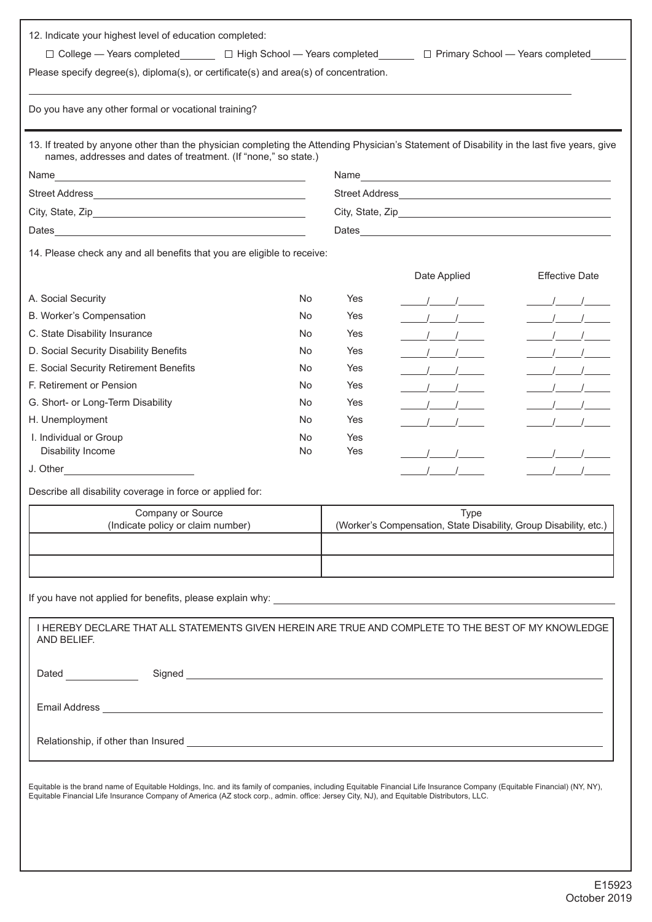| Do you have any other formal or vocational training?                                                                                                                                                                                 |     |            |                                                                   |                       |
|--------------------------------------------------------------------------------------------------------------------------------------------------------------------------------------------------------------------------------------|-----|------------|-------------------------------------------------------------------|-----------------------|
|                                                                                                                                                                                                                                      |     |            |                                                                   |                       |
| 13. If treated by anyone other than the physician completing the Attending Physician's Statement of Disability in the last five years, give<br>names, addresses and dates of treatment. (If "none," so state.)                       |     |            |                                                                   |                       |
|                                                                                                                                                                                                                                      |     |            |                                                                   |                       |
|                                                                                                                                                                                                                                      |     |            |                                                                   |                       |
|                                                                                                                                                                                                                                      |     |            |                                                                   |                       |
|                                                                                                                                                                                                                                      |     |            |                                                                   |                       |
| 14. Please check any and all benefits that you are eligible to receive:                                                                                                                                                              |     |            |                                                                   |                       |
|                                                                                                                                                                                                                                      |     |            | Date Applied                                                      | <b>Effective Date</b> |
| A. Social Security                                                                                                                                                                                                                   | No  | Yes        | $\frac{1}{2}$                                                     | $\frac{1}{\sqrt{2}}$  |
| B. Worker's Compensation                                                                                                                                                                                                             | No. | Yes        | $\frac{1}{\sqrt{2}}$                                              | $\frac{1}{\sqrt{2}}$  |
| C. State Disability Insurance                                                                                                                                                                                                        | No  | Yes        | $\frac{1}{2}$ $\frac{1}{2}$                                       | $\frac{1}{2}$         |
| D. Social Security Disability Benefits                                                                                                                                                                                               | No  | Yes        | $\frac{1}{2}$ $\frac{1}{2}$                                       |                       |
| E. Social Security Retirement Benefits                                                                                                                                                                                               | No  | Yes        | $\frac{1}{2}$                                                     | $\frac{1}{2}$         |
| F. Retirement or Pension                                                                                                                                                                                                             | No  | Yes        | $\frac{1}{\sqrt{1-\frac{1}{2}}}$                                  | $\frac{1}{2}$         |
| G. Short- or Long-Term Disability                                                                                                                                                                                                    | No  | Yes        | $\frac{1}{2}$                                                     |                       |
| H. Unemployment                                                                                                                                                                                                                      | No  | <b>Yes</b> | $\sqrt{1}$                                                        | $\sqrt{1}$            |
| I. Individual or Group                                                                                                                                                                                                               | No  | Yes        |                                                                   |                       |
| Disability Income                                                                                                                                                                                                                    | No  | Yes        | $\frac{1}{\sqrt{2}}$                                              | $\frac{1}{\sqrt{2}}$  |
|                                                                                                                                                                                                                                      |     |            | $\sqrt{1}$                                                        | $\frac{1}{2}$         |
| Describe all disability coverage in force or applied for:                                                                                                                                                                            |     |            |                                                                   |                       |
| Company or Source                                                                                                                                                                                                                    |     |            | <b>Type</b>                                                       |                       |
| (Indicate policy or claim number)                                                                                                                                                                                                    |     |            | (Worker's Compensation, State Disability, Group Disability, etc.) |                       |
|                                                                                                                                                                                                                                      |     |            |                                                                   |                       |
|                                                                                                                                                                                                                                      |     |            |                                                                   |                       |
|                                                                                                                                                                                                                                      |     |            |                                                                   |                       |
|                                                                                                                                                                                                                                      |     |            |                                                                   |                       |
| I HEREBY DECLARE THAT ALL STATEMENTS GIVEN HEREIN ARE TRUE AND COMPLETE TO THE BEST OF MY KNOWLEDGE                                                                                                                                  |     |            |                                                                   |                       |
| AND BELIEF.                                                                                                                                                                                                                          |     |            |                                                                   |                       |
|                                                                                                                                                                                                                                      |     |            |                                                                   |                       |
|                                                                                                                                                                                                                                      |     |            |                                                                   |                       |
|                                                                                                                                                                                                                                      |     |            |                                                                   |                       |
| Email Address <b>contract and the contract of the contract of the contract of the contract of the contract of the contract of the contract of the contract of the contract of the contract of the contract of the contract of th</b> |     |            |                                                                   |                       |
|                                                                                                                                                                                                                                      |     |            |                                                                   |                       |
|                                                                                                                                                                                                                                      |     |            |                                                                   |                       |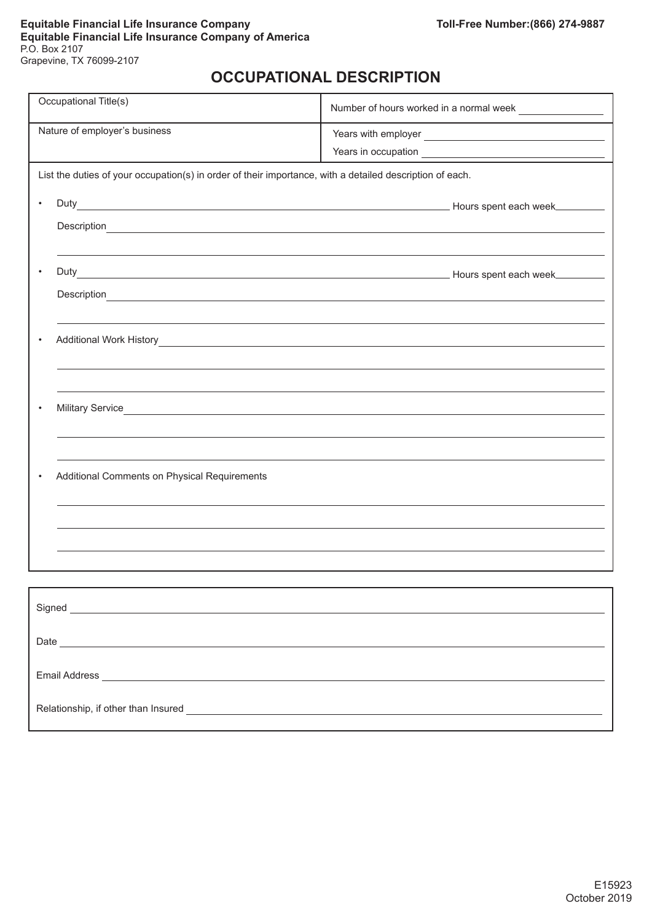# **OCCUPATIONAL DESCRIPTION**

| Occupational Title(s)                        | Number of hours worked in a normal week                                                                                                                                                                                              |
|----------------------------------------------|--------------------------------------------------------------------------------------------------------------------------------------------------------------------------------------------------------------------------------------|
| Nature of employer's business                |                                                                                                                                                                                                                                      |
|                                              |                                                                                                                                                                                                                                      |
|                                              |                                                                                                                                                                                                                                      |
|                                              | List the duties of your occupation(s) in order of their importance, with a detailed description of each.                                                                                                                             |
|                                              |                                                                                                                                                                                                                                      |
| $\bullet$                                    |                                                                                                                                                                                                                                      |
|                                              | Description <u>example and the contract of the contract of the contract of the contract of the contract of the contract of the contract of the contract of the contract of the contract of the contract of the contract of the c</u> |
|                                              |                                                                                                                                                                                                                                      |
|                                              |                                                                                                                                                                                                                                      |
|                                              |                                                                                                                                                                                                                                      |
|                                              |                                                                                                                                                                                                                                      |
|                                              |                                                                                                                                                                                                                                      |
|                                              |                                                                                                                                                                                                                                      |
|                                              |                                                                                                                                                                                                                                      |
|                                              |                                                                                                                                                                                                                                      |
|                                              |                                                                                                                                                                                                                                      |
|                                              |                                                                                                                                                                                                                                      |
|                                              |                                                                                                                                                                                                                                      |
|                                              |                                                                                                                                                                                                                                      |
|                                              |                                                                                                                                                                                                                                      |
|                                              |                                                                                                                                                                                                                                      |
| Additional Comments on Physical Requirements |                                                                                                                                                                                                                                      |
|                                              |                                                                                                                                                                                                                                      |
|                                              |                                                                                                                                                                                                                                      |
|                                              |                                                                                                                                                                                                                                      |
|                                              |                                                                                                                                                                                                                                      |
|                                              |                                                                                                                                                                                                                                      |
|                                              |                                                                                                                                                                                                                                      |
|                                              |                                                                                                                                                                                                                                      |
|                                              |                                                                                                                                                                                                                                      |
|                                              |                                                                                                                                                                                                                                      |
|                                              |                                                                                                                                                                                                                                      |
|                                              |                                                                                                                                                                                                                                      |
|                                              |                                                                                                                                                                                                                                      |
|                                              |                                                                                                                                                                                                                                      |
|                                              |                                                                                                                                                                                                                                      |
|                                              |                                                                                                                                                                                                                                      |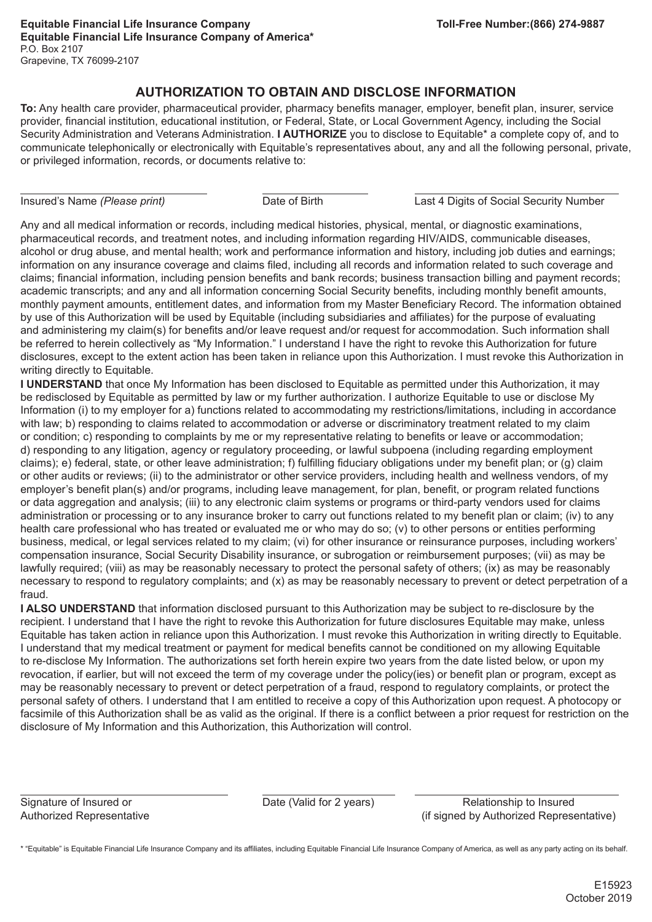# **AUTHORIZATION TO OBTAIN AND DISCLOSE INFORMATION**

**To:** Any health care provider, pharmaceutical provider, pharmacy benefits manager, employer, benefit plan, insurer, service provider, financial institution, educational institution, or Federal, State, or Local Government Agency, including the Social Security Administration and Veterans Administration. **I AUTHORIZE** you to disclose to Equitable\* a complete copy of, and to communicate telephonically or electronically with Equitable's representatives about, any and all the following personal, private, or privileged information, records, or documents relative to:

Insured's Name *(Please print)* Date of Birth Last 4 Digits of Social Security Number

Any and all medical information or records, including medical histories, physical, mental, or diagnostic examinations, pharmaceutical records, and treatment notes, and including information regarding HIV/AIDS, communicable diseases, alcohol or drug abuse, and mental health; work and performance information and history, including job duties and earnings; information on any insurance coverage and claims filed, including all records and information related to such coverage and claims; financial information, including pension benefits and bank records; business transaction billing and payment records; academic transcripts; and any and all information concerning Social Security benefits, including monthly benefit amounts, monthly payment amounts, entitlement dates, and information from my Master Beneficiary Record. The information obtained by use of this Authorization will be used by Equitable (including subsidiaries and affiliates) for the purpose of evaluating and administering my claim(s) for benefits and/or leave request and/or request for accommodation. Such information shall be referred to herein collectively as "My Information." I understand I have the right to revoke this Authorization for future disclosures, except to the extent action has been taken in reliance upon this Authorization. I must revoke this Authorization in writing directly to Equitable.

**I UNDERSTAND** that once My Information has been disclosed to Equitable as permitted under this Authorization, it may be redisclosed by Equitable as permitted by law or my further authorization. I authorize Equitable to use or disclose My Information (i) to my employer for a) functions related to accommodating my restrictions/limitations, including in accordance with law; b) responding to claims related to accommodation or adverse or discriminatory treatment related to my claim or condition; c) responding to complaints by me or my representative relating to benefits or leave or accommodation; d) responding to any litigation, agency or regulatory proceeding, or lawful subpoena (including regarding employment claims); e) federal, state, or other leave administration; f) fulfilling fiduciary obligations under my benefit plan; or (g) claim or other audits or reviews; (ii) to the administrator or other service providers, including health and wellness vendors, of my employer's benefit plan(s) and/or programs, including leave management, for plan, benefit, or program related functions or data aggregation and analysis; (iii) to any electronic claim systems or programs or third-party vendors used for claims administration or processing or to any insurance broker to carry out functions related to my benefit plan or claim; (iv) to any health care professional who has treated or evaluated me or who may do so; (v) to other persons or entities performing business, medical, or legal services related to my claim; (vi) for other insurance or reinsurance purposes, including workers' compensation insurance, Social Security Disability insurance, or subrogation or reimbursement purposes; (vii) as may be lawfully required; (viii) as may be reasonably necessary to protect the personal safety of others; (ix) as may be reasonably necessary to respond to regulatory complaints; and (x) as may be reasonably necessary to prevent or detect perpetration of a fraud.

**I ALSO UNDERSTAND** that information disclosed pursuant to this Authorization may be subject to re-disclosure by the recipient. I understand that I have the right to revoke this Authorization for future disclosures Equitable may make, unless Equitable has taken action in reliance upon this Authorization. I must revoke this Authorization in writing directly to Equitable. I understand that my medical treatment or payment for medical benefits cannot be conditioned on my allowing Equitable to re-disclose My Information. The authorizations set forth herein expire two years from the date listed below, or upon my revocation, if earlier, but will not exceed the term of my coverage under the policy(ies) or benefit plan or program, except as may be reasonably necessary to prevent or detect perpetration of a fraud, respond to regulatory complaints, or protect the personal safety of others. I understand that I am entitled to receive a copy of this Authorization upon request. A photocopy or facsimile of this Authorization shall be as valid as the original. If there is a conflict between a prior request for restriction on the disclosure of My Information and this Authorization, this Authorization will control.

Signature of Insured or **Date (Valid for 2 years)** Relationship to Insured Authorized Representative (if signed by Authorized Representative)

\* "Equitable" is Equitable Financial Life Insurance Company and its affiliates, including Equitable Financial Life Insurance Company of America, as well as any party acting on its behalf.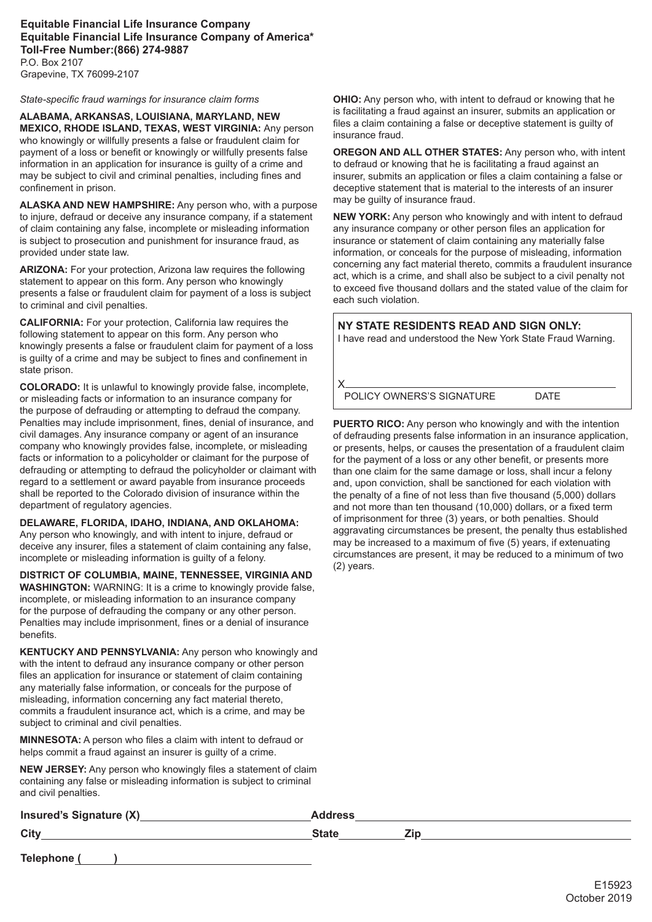#### **Equitable Financial Life Insurance Company Equitable Financial Life Insurance Company of America\* Toll-Free Number:(866) 274-9887** P.O. Box 2107

Grapevine, TX 76099-2107

*State-specific fraud warnings for insurance claim forms*

**ALABAMA, ARKANSAS, LOUISIANA, MARYLAND, NEW MEXICO, RHODE ISLAND, TEXAS, WEST VIRGINIA:** Any person who knowingly or willfully presents a false or fraudulent claim for payment of a loss or benefit or knowingly or willfully presents false information in an application for insurance is guilty of a crime and may be subject to civil and criminal penalties, including fines and confinement in prison.

**ALASKA AND NEW HAMPSHIRE:** Any person who, with a purpose to injure, defraud or deceive any insurance company, if a statement of claim containing any false, incomplete or misleading information is subject to prosecution and punishment for insurance fraud, as provided under state law.

**ARIZONA:** For your protection, Arizona law requires the following statement to appear on this form. Any person who knowingly presents a false or fraudulent claim for payment of a loss is subject to criminal and civil penalties.

**CALIFORNIA:** For your protection, California law requires the following statement to appear on this form. Any person who knowingly presents a false or fraudulent claim for payment of a loss is guilty of a crime and may be subject to fines and confinement in state prison.

**COLORADO:** It is unlawful to knowingly provide false, incomplete, or misleading facts or information to an insurance company for the purpose of defrauding or attempting to defraud the company. Penalties may include imprisonment, fines, denial of insurance, and civil damages. Any insurance company or agent of an insurance company who knowingly provides false, incomplete, or misleading facts or information to a policyholder or claimant for the purpose of defrauding or attempting to defraud the policyholder or claimant with regard to a settlement or award payable from insurance proceeds shall be reported to the Colorado division of insurance within the department of regulatory agencies.

**DELAWARE, FLORIDA, IDAHO, INDIANA, AND OKLAHOMA:** Any person who knowingly, and with intent to injure, defraud or deceive any insurer, files a statement of claim containing any false, incomplete or misleading information is guilty of a felony.

**DISTRICT OF COLUMBIA, MAINE, TENNESSEE, VIRGINIA AND WASHINGTON:** WARNING: It is a crime to knowingly provide false, incomplete, or misleading information to an insurance company for the purpose of defrauding the company or any other person. Penalties may include imprisonment, fines or a denial of insurance benefits.

**KENTUCKY AND PENNSYLVANIA:** Any person who knowingly and with the intent to defraud any insurance company or other person files an application for insurance or statement of claim containing any materially false information, or conceals for the purpose of misleading, information concerning any fact material thereto, commits a fraudulent insurance act, which is a crime, and may be subject to criminal and civil penalties.

**MINNESOTA:** A person who files a claim with intent to defraud or helps commit a fraud against an insurer is guilty of a crime.

**NEW JERSEY:** Any person who knowingly files a statement of claim containing any false or misleading information is subject to criminal and civil penalties.

**OHIO:** Any person who, with intent to defraud or knowing that he is facilitating a fraud against an insurer, submits an application or files a claim containing a false or deceptive statement is guilty of insurance fraud.

**OREGON AND ALL OTHER STATES:** Any person who, with intent to defraud or knowing that he is facilitating a fraud against an insurer, submits an application or files a claim containing a false or deceptive statement that is material to the interests of an insurer may be guilty of insurance fraud.

**NEW YORK:** Any person who knowingly and with intent to defraud any insurance company or other person files an application for insurance or statement of claim containing any materially false information, or conceals for the purpose of misleading, information concerning any fact material thereto, commits a fraudulent insurance act, which is a crime, and shall also be subject to a civil penalty not to exceed five thousand dollars and the stated value of the claim for each such violation.

**NY STATE RESIDENTS READ AND SIGN ONLY:** I have read and understood the New York State Fraud Warning.

X POLICY OWNERS'S SIGNATURE DATE

**PUERTO RICO:** Any person who knowingly and with the intention of defrauding presents false information in an insurance application, or presents, helps, or causes the presentation of a fraudulent claim for the payment of a loss or any other benefit, or presents more than one claim for the same damage or loss, shall incur a felony and, upon conviction, shall be sanctioned for each violation with the penalty of a fine of not less than five thousand (5,000) dollars and not more than ten thousand (10,000) dollars, or a fixed term of imprisonment for three (3) years, or both penalties. Should aggravating circumstances be present, the penalty thus established may be increased to a maximum of five (5) years, if extenuating circumstances are present, it may be reduced to a minimum of two (2) years.

| Insured's Signature (X)_ | <b>Address</b> |  |
|--------------------------|----------------|--|
| City                     | State          |  |

Telephone (
a)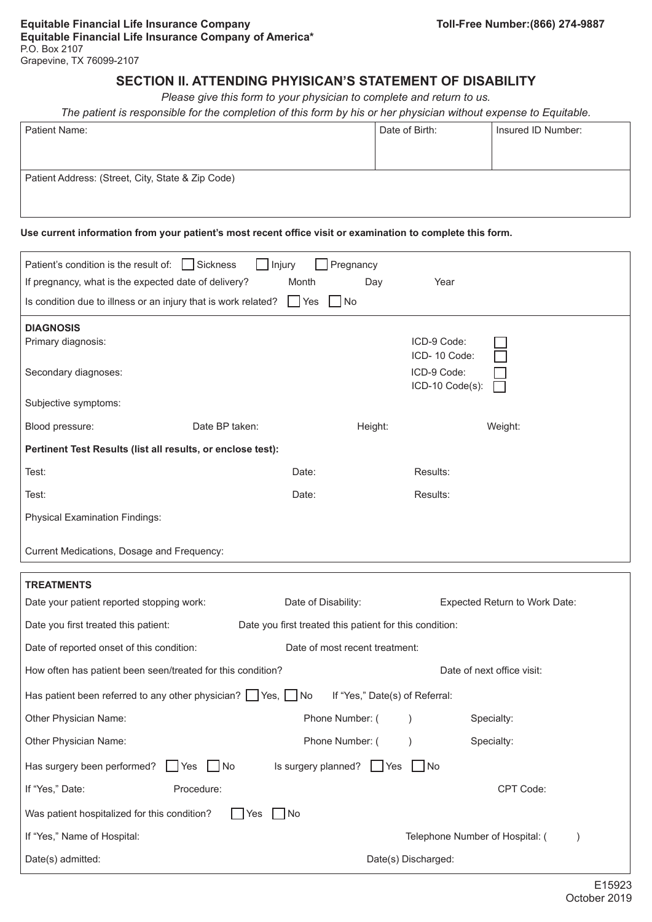# **SECTION II. ATTENDING PHYISICAN'S STATEMENT OF DISABILITY**

*Please give this form to your physician to complete and return to us.*

*The patient is responsible for the completion of this form by his or her physician without expense to Equitable.*

| Patient Name:                                     | Date of Birth: | Insured ID Number: |
|---------------------------------------------------|----------------|--------------------|
|                                                   |                |                    |
|                                                   |                |                    |
| Patient Address: (Street, City, State & Zip Code) |                |                    |
|                                                   |                |                    |
|                                                   |                |                    |

#### **Use current information from your patient's most recent office visit or examination to complete this form.**

| Patient's condition is the result of:   Sickness                        | Pregnancy<br>Injury                                     |                                                             |
|-------------------------------------------------------------------------|---------------------------------------------------------|-------------------------------------------------------------|
| If pregnancy, what is the expected date of delivery?                    | Month<br>Day                                            | Year                                                        |
| Is condition due to illness or an injury that is work related?          | $ $ $ $ Yes<br>$\Box$ No                                |                                                             |
| <b>DIAGNOSIS</b>                                                        |                                                         |                                                             |
| Primary diagnosis:                                                      |                                                         | ICD-9 Code:<br>ICD-10 Code:                                 |
| Secondary diagnoses:                                                    |                                                         | ICD-9 Code:                                                 |
|                                                                         |                                                         | ICD-10 Code(s):                                             |
| Subjective symptoms:                                                    |                                                         |                                                             |
| Date BP taken:<br>Blood pressure:                                       | Height:                                                 | Weight:                                                     |
| Pertinent Test Results (list all results, or enclose test):             |                                                         |                                                             |
| Test:                                                                   | Date:                                                   | Results:                                                    |
| Test:                                                                   | Date:                                                   | Results:                                                    |
| <b>Physical Examination Findings:</b>                                   |                                                         |                                                             |
|                                                                         |                                                         |                                                             |
| Current Medications, Dosage and Frequency:                              |                                                         |                                                             |
| <b>TREATMENTS</b>                                                       |                                                         |                                                             |
| Date your patient reported stopping work:                               | Date of Disability:                                     | Expected Return to Work Date:                               |
| Date you first treated this patient:                                    | Date you first treated this patient for this condition: |                                                             |
| Date of reported onset of this condition:                               | Date of most recent treatment:                          |                                                             |
| How often has patient been seen/treated for this condition?             |                                                         | Date of next office visit:                                  |
| Has patient been referred to any other physician? $\Box$ Yes, $\Box$ No |                                                         | If "Yes," Date(s) of Referral:                              |
| Other Physician Name:                                                   | Phone Number: (                                         | Specialty:                                                  |
| Other Physician Name:                                                   | Phone Number: (                                         | $\left( \begin{array}{c} \end{array} \right)$<br>Specialty: |
| Has surgery been performed?<br><b>Yes</b><br>No.                        | Is surgery planned? $\Box$ Yes $\Box$ No                |                                                             |
| If "Yes," Date:<br>Procedure:                                           |                                                         | CPT Code:                                                   |
| Was patient hospitalized for this condition?<br>Yes                     | $\vert$ $\vert$ No                                      |                                                             |
| If "Yes," Name of Hospital:                                             |                                                         | Telephone Number of Hospital: (<br>$\mathcal{E}$            |
| Date(s) admitted:                                                       |                                                         | Date(s) Discharged:                                         |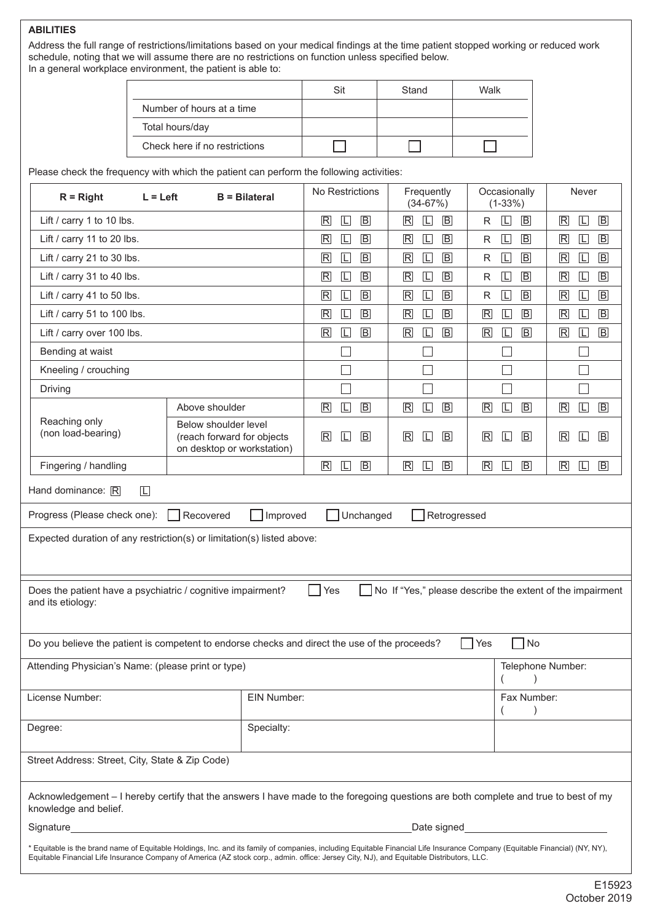#### **ABILITIES**

Address the full range of restrictions/limitations based on your medical findings at the time patient stopped working or reduced work schedule, noting that we will assume there are no restrictions on function unless specified below. In a general workplace environment, the patient is able to:

|                               | Sit | Stand | Walk |
|-------------------------------|-----|-------|------|
| Number of hours at a time     |     |       |      |
| Total hours/day               |     |       |      |
| Check here if no restrictions |     |       |      |

Please check the frequency with which the patient can perform the following activities:

| $R = Right$<br>$L = Let$                                                                                                                                                                                                                                                                                                | <b>B</b> = Bilateral                                                                                                  | No Restrictions                                                | Frequently<br>$(34-67%)$                                    | Occasionally<br>$(1-33%)$                           | Never                                                       |
|-------------------------------------------------------------------------------------------------------------------------------------------------------------------------------------------------------------------------------------------------------------------------------------------------------------------------|-----------------------------------------------------------------------------------------------------------------------|----------------------------------------------------------------|-------------------------------------------------------------|-----------------------------------------------------|-------------------------------------------------------------|
| Lift / carry 1 to 10 lbs.                                                                                                                                                                                                                                                                                               |                                                                                                                       | $\overline{B}$<br>$\overline{\mathsf{R}}$<br>$\Box$            | $\overline{\mathsf{R}}$<br>$\Box$<br>$\overline{B}$         | $\overline{B}$<br>$\Box$<br>R                       | $\overline{B}$<br>$\overline{\mathbb{R}}$<br>$\boxed{\Box}$ |
| Lift / carry 11 to 20 lbs.                                                                                                                                                                                                                                                                                              | $\boxed{B}$<br>$\mathbb{R}$<br>$\Box$                                                                                 | $\boxed{B}$<br>$\mathbb R$<br>$\Box$                           | $\overline{B}$<br>$\Box$<br>R                               | $\boxed{\Box}$<br>$\overline{B}$<br>$\mathbb{R}$    |                                                             |
| Lift / carry 21 to 30 lbs.                                                                                                                                                                                                                                                                                              | $\overline{B}$<br>$\overline{\mathsf{R}}$<br>$\Box$                                                                   | $\overline{\mathsf{R}}$<br>$\Box$<br>$\boxed{B}$               | $\overline{B}$<br>$\mathsf{R}$<br>$\Box$                    | $\overline{B}$<br>$\mathbb{R}$<br>$\Box$            |                                                             |
| Lift / carry 31 to 40 lbs.                                                                                                                                                                                                                                                                                              | $\mathsf B$<br>$\mathbb{R}$<br>$\Box$                                                                                 | $\overline{\mathsf{R}}$<br>$\Box$<br>$\overline{B}$            | $\overline{\mathsf{L}}$<br>$\overline{B}$<br>R              | $\boxed{B}$<br>$\mathbb{R}$<br>$\Box$               |                                                             |
| Lift / carry 41 to 50 lbs.                                                                                                                                                                                                                                                                                              | $\overline{B}$<br>$\overline{\mathbb{R}}$<br>L                                                                        | $\overline{\mathsf{R}}$<br>$\boxed{\mathsf{L}}$<br>$\boxed{B}$ | $\overline{B}$<br>L<br>R                                    | $\boxed{B}$<br>$\mathbb{R}$<br>$\Box$               |                                                             |
| Lift / carry 51 to 100 lbs.                                                                                                                                                                                                                                                                                             | $\mathbb{R}$<br>$\mathsf B$<br>$\Box$                                                                                 | $\overline{\mathsf{R}}$<br>$\overline{B}$<br>$\Box$            | $\overline{\mathsf{R}}$<br>$\overline{B}$<br>$\Box$         | $\mathsf B$<br>$\mathbb{R}$<br>$\boxed{\Box}$       |                                                             |
| Lift / carry over 100 lbs.                                                                                                                                                                                                                                                                                              |                                                                                                                       | $\boxed{B}$<br>$\mathbb{R}$<br>$\Box$                          | $\overline{\mathsf{R}}$<br>$\overline{B}$<br>$\Box$         | $\sqrt{B}$<br>$\overline{\mathsf{R}}$<br>$\Box$     | $\boxed{B}$<br>$\mathbb R$<br>$\boxed{\Box}$                |
| Bending at waist                                                                                                                                                                                                                                                                                                        |                                                                                                                       |                                                                |                                                             |                                                     |                                                             |
| Kneeling / crouching                                                                                                                                                                                                                                                                                                    |                                                                                                                       |                                                                | ×                                                           | $\sim$                                              | $\mathbf{L}$                                                |
| Driving                                                                                                                                                                                                                                                                                                                 |                                                                                                                       |                                                                |                                                             |                                                     |                                                             |
|                                                                                                                                                                                                                                                                                                                         | Above shoulder                                                                                                        | $\mathbb R$<br>$\Box$<br>$\overline{B}$                        | $\boxed{\Box}$<br>$\overline{\mathsf{R}}$<br>$\overline{B}$ | $\Box$<br>$\overline{\mathsf{R}}$<br>$\overline{B}$ | $\boxed{\Box}$<br>$\mathbb{R}$<br>$\overline{B}$            |
| Reaching only<br>(non load-bearing)                                                                                                                                                                                                                                                                                     | Below shoulder level<br>(reach forward for objects<br>on desktop or workstation)                                      | $\overline{B}$<br>$\overline{\mathsf{R}}$<br>L                 | $\boxed{B}$<br>$\overline{\mathsf{R}}$<br>IЦ                | $\overline{B}$<br>$\overline{\mathsf{R}}$<br>ΙLΙ    | $\overline{\mathbb{R}}$<br>$\overline{B}$<br>L              |
| Fingering / handling                                                                                                                                                                                                                                                                                                    |                                                                                                                       | $\overline{B}$<br>$\mathbb R$<br>$\Box$                        | $\overline{B}$<br>$\mathsf R$<br>$\Box$                     | $\overline{B}$<br>$\overline{\mathsf{R}}$<br>$\Box$ | $\mathsf B$<br>$\mathbb{R}$<br>$\Box$                       |
| Hand dominance: R<br>$\Box$                                                                                                                                                                                                                                                                                             |                                                                                                                       |                                                                |                                                             |                                                     |                                                             |
| Unchanged<br>Progress (Please check one):<br>Recovered<br>Improved<br>Retrogressed                                                                                                                                                                                                                                      |                                                                                                                       |                                                                |                                                             |                                                     |                                                             |
| Expected duration of any restriction(s) or limitation(s) listed above:                                                                                                                                                                                                                                                  |                                                                                                                       |                                                                |                                                             |                                                     |                                                             |
| Yes<br>No If "Yes," please describe the extent of the impairment<br>Does the patient have a psychiatric / cognitive impairment?<br>and its etiology:                                                                                                                                                                    |                                                                                                                       |                                                                |                                                             |                                                     |                                                             |
| Do you believe the patient is competent to endorse checks and direct the use of the proceeds?                                                                                                                                                                                                                           |                                                                                                                       |                                                                |                                                             | $\sqcap$ No<br>Yes                                  |                                                             |
| Attending Physician's Name: (please print or type)<br>Telephone Number:                                                                                                                                                                                                                                                 |                                                                                                                       |                                                                |                                                             |                                                     |                                                             |
| License Number:<br>EIN Number:<br>Fax Number:                                                                                                                                                                                                                                                                           |                                                                                                                       |                                                                |                                                             |                                                     |                                                             |
| Specialty:<br>Degree:                                                                                                                                                                                                                                                                                                   |                                                                                                                       |                                                                |                                                             |                                                     |                                                             |
| Street Address: Street, City, State & Zip Code)                                                                                                                                                                                                                                                                         |                                                                                                                       |                                                                |                                                             |                                                     |                                                             |
| Acknowledgement - I hereby certify that the answers I have made to the foregoing questions are both complete and true to best of my<br>knowledge and belief.                                                                                                                                                            |                                                                                                                       |                                                                |                                                             |                                                     |                                                             |
| Signature                                                                                                                                                                                                                                                                                                               | <u> 1980 - Johann Johann Stoff, deutscher Stoff, der Stoff, der Stoff, der Stoff, der Stoff, der Stoff, der Stoff</u> |                                                                | Date signed                                                 |                                                     |                                                             |
| * Equitable is the brand name of Equitable Holdings, Inc. and its family of companies, including Equitable Financial Life Insurance Company (Equitable Financial) (NY, NY),<br>Equitable Financial Life Insurance Company of America (AZ stock corp., admin. office: Jersey City, NJ), and Equitable Distributors, LLC. |                                                                                                                       |                                                                |                                                             |                                                     |                                                             |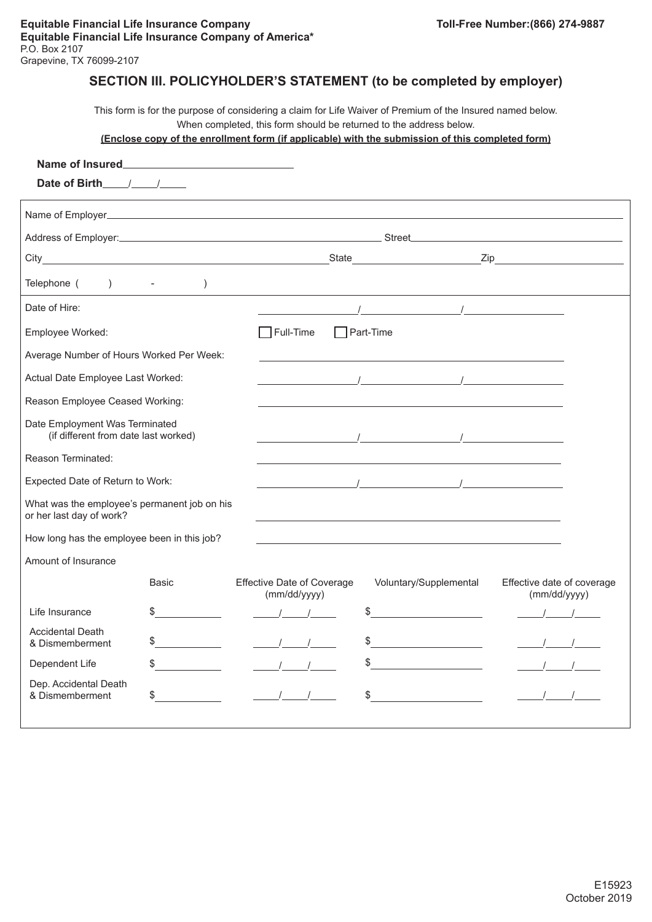# **SECTION III. POLICYHOLDER'S STATEMENT (to be completed by employer)**

This form is for the purpose of considering a claim for Life Waiver of Premium of the Insured named below. When completed, this form should be returned to the address below.

#### **(Enclose copy of the enrollment form (if applicable) with the submission of this completed form)**

| Date of Birth 11                                                         |                                                                                                                                                                                                                                                                                                                                                                                                                                 |                                                                                  |                                                                                                                                                                                                                                                                                                                    |                                            |
|--------------------------------------------------------------------------|---------------------------------------------------------------------------------------------------------------------------------------------------------------------------------------------------------------------------------------------------------------------------------------------------------------------------------------------------------------------------------------------------------------------------------|----------------------------------------------------------------------------------|--------------------------------------------------------------------------------------------------------------------------------------------------------------------------------------------------------------------------------------------------------------------------------------------------------------------|--------------------------------------------|
|                                                                          |                                                                                                                                                                                                                                                                                                                                                                                                                                 |                                                                                  |                                                                                                                                                                                                                                                                                                                    |                                            |
|                                                                          |                                                                                                                                                                                                                                                                                                                                                                                                                                 |                                                                                  |                                                                                                                                                                                                                                                                                                                    |                                            |
|                                                                          |                                                                                                                                                                                                                                                                                                                                                                                                                                 |                                                                                  |                                                                                                                                                                                                                                                                                                                    |                                            |
| Telephone ( ) -                                                          | $\lambda$                                                                                                                                                                                                                                                                                                                                                                                                                       | ,我们也不能在这里的时候,我们也不能在这里的时候,我们也不能会在这里的时候,我们也不能会在这里的时候,我们也不能会在这里的时候,我们也不能会在这里的时候,我们也 |                                                                                                                                                                                                                                                                                                                    |                                            |
| Date of Hire:                                                            |                                                                                                                                                                                                                                                                                                                                                                                                                                 |                                                                                  | $\mathcal{L}$ and $\mathcal{L}$ and $\mathcal{L}$ and $\mathcal{L}$ and $\mathcal{L}$ and $\mathcal{L}$ and $\mathcal{L}$ and $\mathcal{L}$                                                                                                                                                                        |                                            |
| Employee Worked:                                                         |                                                                                                                                                                                                                                                                                                                                                                                                                                 | $\exists$ Full-Time                                                              | $\Box$ Part-Time                                                                                                                                                                                                                                                                                                   |                                            |
| Average Number of Hours Worked Per Week:                                 |                                                                                                                                                                                                                                                                                                                                                                                                                                 |                                                                                  |                                                                                                                                                                                                                                                                                                                    |                                            |
| Actual Date Employee Last Worked:                                        |                                                                                                                                                                                                                                                                                                                                                                                                                                 |                                                                                  | $\mathcal{L}$ and $\mathcal{L}$ are the set of $\mathcal{L}$                                                                                                                                                                                                                                                       |                                            |
| Reason Employee Ceased Working:                                          |                                                                                                                                                                                                                                                                                                                                                                                                                                 |                                                                                  |                                                                                                                                                                                                                                                                                                                    |                                            |
| Date Employment Was Terminated<br>(if different from date last worked)   |                                                                                                                                                                                                                                                                                                                                                                                                                                 |                                                                                  | $\frac{1}{2}$ . The contract of the contract of $\frac{1}{2}$ , $\frac{1}{2}$ , $\frac{1}{2}$ , $\frac{1}{2}$ , $\frac{1}{2}$ , $\frac{1}{2}$ , $\frac{1}{2}$ , $\frac{1}{2}$ , $\frac{1}{2}$ , $\frac{1}{2}$ , $\frac{1}{2}$ , $\frac{1}{2}$ , $\frac{1}{2}$ , $\frac{1}{2}$ , $\frac{1}{2}$                      |                                            |
| Reason Terminated:                                                       |                                                                                                                                                                                                                                                                                                                                                                                                                                 |                                                                                  |                                                                                                                                                                                                                                                                                                                    |                                            |
| Expected Date of Return to Work:                                         |                                                                                                                                                                                                                                                                                                                                                                                                                                 |                                                                                  | $\sqrt{2}$ $\sqrt{2}$ $\sqrt{2}$ $\sqrt{2}$ $\sqrt{2}$ $\sqrt{2}$ $\sqrt{2}$ $\sqrt{2}$ $\sqrt{2}$ $\sqrt{2}$ $\sqrt{2}$ $\sqrt{2}$ $\sqrt{2}$ $\sqrt{2}$ $\sqrt{2}$ $\sqrt{2}$ $\sqrt{2}$ $\sqrt{2}$ $\sqrt{2}$ $\sqrt{2}$ $\sqrt{2}$ $\sqrt{2}$ $\sqrt{2}$ $\sqrt{2}$ $\sqrt{2}$ $\sqrt{2}$ $\sqrt{2}$ $\sqrt{2$ |                                            |
| What was the employee's permanent job on his<br>or her last day of work? |                                                                                                                                                                                                                                                                                                                                                                                                                                 |                                                                                  |                                                                                                                                                                                                                                                                                                                    |                                            |
| How long has the employee been in this job?                              |                                                                                                                                                                                                                                                                                                                                                                                                                                 |                                                                                  |                                                                                                                                                                                                                                                                                                                    |                                            |
| Amount of Insurance                                                      |                                                                                                                                                                                                                                                                                                                                                                                                                                 |                                                                                  |                                                                                                                                                                                                                                                                                                                    |                                            |
|                                                                          | <b>Basic</b>                                                                                                                                                                                                                                                                                                                                                                                                                    | <b>Effective Date of Coverage</b><br>(mm/dd/yyyy)                                | Voluntary/Supplemental                                                                                                                                                                                                                                                                                             | Effective date of coverage<br>(mm/dd/yyyy) |
| Life Insurance                                                           | \$                                                                                                                                                                                                                                                                                                                                                                                                                              |                                                                                  | \$                                                                                                                                                                                                                                                                                                                 |                                            |
| <b>Accidental Death</b><br>& Dismemberment                               | $\frac{1}{\sqrt{1-\frac{1}{2}}}\frac{1}{\sqrt{1-\frac{1}{2}}}\frac{1}{\sqrt{1-\frac{1}{2}}}\frac{1}{\sqrt{1-\frac{1}{2}}}\frac{1}{\sqrt{1-\frac{1}{2}}}\frac{1}{\sqrt{1-\frac{1}{2}}}\frac{1}{\sqrt{1-\frac{1}{2}}}\frac{1}{\sqrt{1-\frac{1}{2}}}\frac{1}{\sqrt{1-\frac{1}{2}}}\frac{1}{\sqrt{1-\frac{1}{2}}}\frac{1}{\sqrt{1-\frac{1}{2}}}\frac{1}{\sqrt{1-\frac{1}{2}}}\frac{1}{\sqrt{1-\frac{1}{2}}}\frac{1}{\sqrt{1-\frac{$ |                                                                                  | \$                                                                                                                                                                                                                                                                                                                 |                                            |
| Dependent Life                                                           | $\frac{1}{\sqrt{1-\frac{1}{2}}}\frac{1}{\sqrt{1-\frac{1}{2}}}\frac{1}{\sqrt{1-\frac{1}{2}}}\frac{1}{\sqrt{1-\frac{1}{2}}}\frac{1}{\sqrt{1-\frac{1}{2}}}\frac{1}{\sqrt{1-\frac{1}{2}}}\frac{1}{\sqrt{1-\frac{1}{2}}}\frac{1}{\sqrt{1-\frac{1}{2}}}\frac{1}{\sqrt{1-\frac{1}{2}}}\frac{1}{\sqrt{1-\frac{1}{2}}}\frac{1}{\sqrt{1-\frac{1}{2}}}\frac{1}{\sqrt{1-\frac{1}{2}}}\frac{1}{\sqrt{1-\frac{1}{2}}}\frac{1}{\sqrt{1-\frac{$ |                                                                                  | \$                                                                                                                                                                                                                                                                                                                 |                                            |
| Dep. Accidental Death<br>& Dismemberment                                 | \$                                                                                                                                                                                                                                                                                                                                                                                                                              |                                                                                  | \$                                                                                                                                                                                                                                                                                                                 |                                            |
|                                                                          |                                                                                                                                                                                                                                                                                                                                                                                                                                 |                                                                                  |                                                                                                                                                                                                                                                                                                                    |                                            |